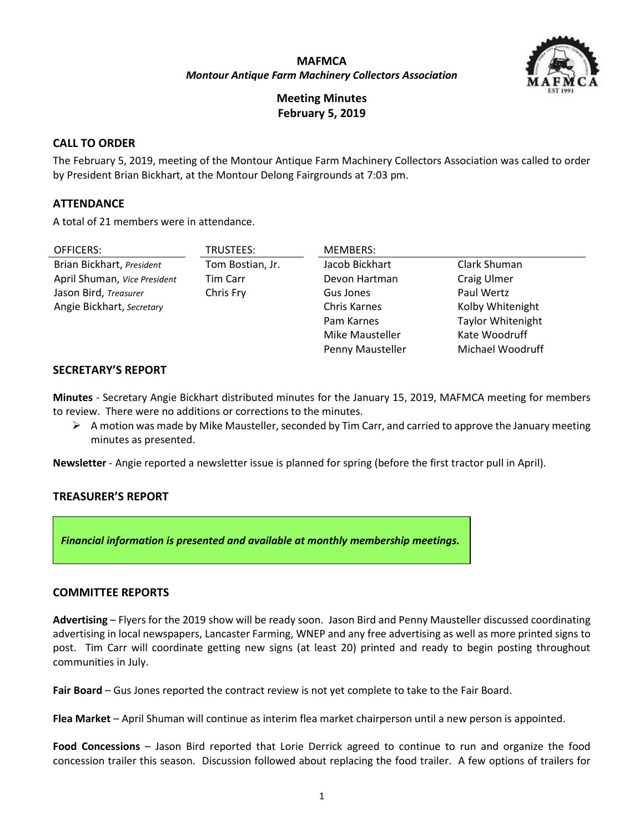# **MAFMCA** *Montour Antique Farm Machinery Collectors Association*



**Meeting Minutes February 5, 2019**

# **CALL TO ORDER**

The February 5, 2019, meeting of the Montour Antique Farm Machinery Collectors Association was called to order by President Brian Bickhart, at the Montour Delong Fairgrounds at 7:03 pm.

### **ATTENDANCE**

A total of 21 members were in attendance.

| <b>OFFICERS:</b>             | TRUSTEES:        | <b>MEMBERS:</b>     |                          |
|------------------------------|------------------|---------------------|--------------------------|
| Brian Bickhart, President    | Tom Bostian, Jr. | Jacob Bickhart      | Clark Shuman             |
| April Shuman, Vice President | <b>Tim Carr</b>  | Devon Hartman       | Craig Ulmer              |
| Jason Bird, Treasurer        | Chris Fry        | Gus Jones           | Paul Wertz               |
| Angie Bickhart, Secretary    |                  | <b>Chris Karnes</b> | Kolby Whitenight         |
|                              |                  | Pam Karnes          | <b>Taylor Whitenight</b> |
|                              |                  | Mike Mausteller     | Kate Woodruff            |
|                              |                  | Penny Mausteller    | Michael Woodruff         |

### **SECRETARY'S REPORT**

**Minutes** - Secretary Angie Bickhart distributed minutes for the January 15, 2019, MAFMCA meeting for members to review. There were no additions or corrections to the minutes.

 $\triangleright$  A motion was made by Mike Mausteller, seconded by Tim Carr, and carried to approve the January meeting minutes as presented.

**Newsletter** - Angie reported a newsletter issue is planned for spring (before the first tractor pull in April).

#### **TREASURER'S REPORT**

*Financial information is presented and available at monthly membership meetings.*

#### **COMMITTEE REPORTS**

**Advertising** – Flyers for the 2019 show will be ready soon. Jason Bird and Penny Mausteller discussed coordinating advertising in local newspapers, Lancaster Farming, WNEP and any free advertising as well as more printed signs to post. Tim Carr will coordinate getting new signs (at least 20) printed and ready to begin posting throughout communities in July.

**Fair Board** – Gus Jones reported the contract review is not yet complete to take to the Fair Board.

**Flea Market** – April Shuman will continue as interim flea market chairperson until a new person is appointed.

**Food Concessions** – Jason Bird reported that Lorie Derrick agreed to continue to run and organize the food concession trailer this season. Discussion followed about replacing the food trailer. A few options of trailers for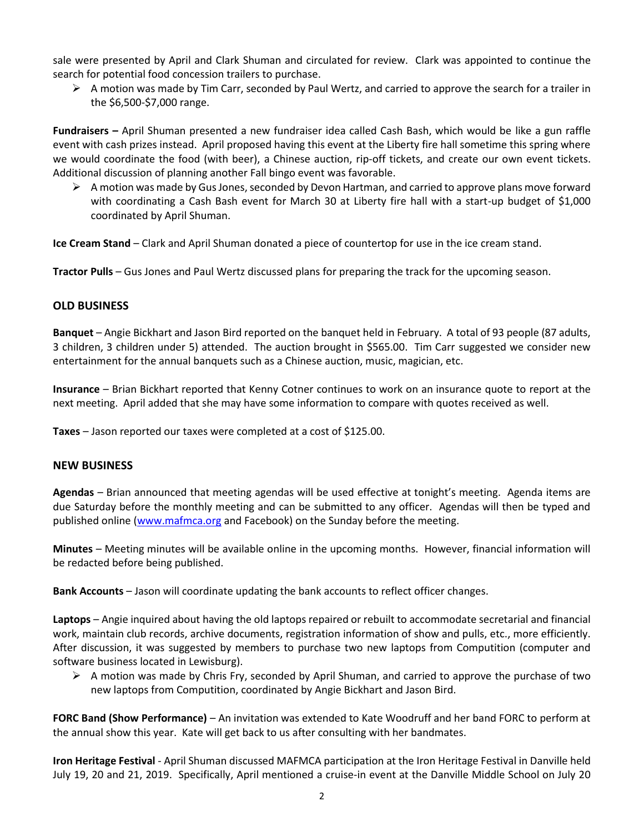sale were presented by April and Clark Shuman and circulated for review. Clark was appointed to continue the search for potential food concession trailers to purchase.

 $\triangleright$  A motion was made by Tim Carr, seconded by Paul Wertz, and carried to approve the search for a trailer in the \$6,500-\$7,000 range.

**Fundraisers –** April Shuman presented a new fundraiser idea called Cash Bash, which would be like a gun raffle event with cash prizes instead. April proposed having this event at the Liberty fire hall sometime this spring where we would coordinate the food (with beer), a Chinese auction, rip-off tickets, and create our own event tickets. Additional discussion of planning another Fall bingo event was favorable.

 $\triangleright$  A motion was made by Gus Jones, seconded by Devon Hartman, and carried to approve plans move forward with coordinating a Cash Bash event for March 30 at Liberty fire hall with a start-up budget of \$1,000 coordinated by April Shuman.

**Ice Cream Stand** – Clark and April Shuman donated a piece of countertop for use in the ice cream stand.

**Tractor Pulls** – Gus Jones and Paul Wertz discussed plans for preparing the track for the upcoming season.

# **OLD BUSINESS**

**Banquet** – Angie Bickhart and Jason Bird reported on the banquet held in February. A total of 93 people (87 adults, 3 children, 3 children under 5) attended. The auction brought in \$565.00. Tim Carr suggested we consider new entertainment for the annual banquets such as a Chinese auction, music, magician, etc.

**Insurance** – Brian Bickhart reported that Kenny Cotner continues to work on an insurance quote to report at the next meeting. April added that she may have some information to compare with quotes received as well.

**Taxes** – Jason reported our taxes were completed at a cost of \$125.00.

#### **NEW BUSINESS**

**Agendas** – Brian announced that meeting agendas will be used effective at tonight's meeting. Agenda items are due Saturday before the monthly meeting and can be submitted to any officer. Agendas will then be typed and published online [\(www.mafmca.org](http://www.mafmca.org/) and Facebook) on the Sunday before the meeting.

**Minutes** – Meeting minutes will be available online in the upcoming months. However, financial information will be redacted before being published.

**Bank Accounts** – Jason will coordinate updating the bank accounts to reflect officer changes.

**Laptops** – Angie inquired about having the old laptops repaired or rebuilt to accommodate secretarial and financial work, maintain club records, archive documents, registration information of show and pulls, etc., more efficiently. After discussion, it was suggested by members to purchase two new laptops from Computition (computer and software business located in Lewisburg).

 $\triangleright$  A motion was made by Chris Fry, seconded by April Shuman, and carried to approve the purchase of two new laptops from Computition, coordinated by Angie Bickhart and Jason Bird.

**FORC Band (Show Performance)** – An invitation was extended to Kate Woodruff and her band FORC to perform at the annual show this year. Kate will get back to us after consulting with her bandmates.

**Iron Heritage Festival** - April Shuman discussed MAFMCA participation at the Iron Heritage Festival in Danville held July 19, 20 and 21, 2019. Specifically, April mentioned a cruise-in event at the Danville Middle School on July 20